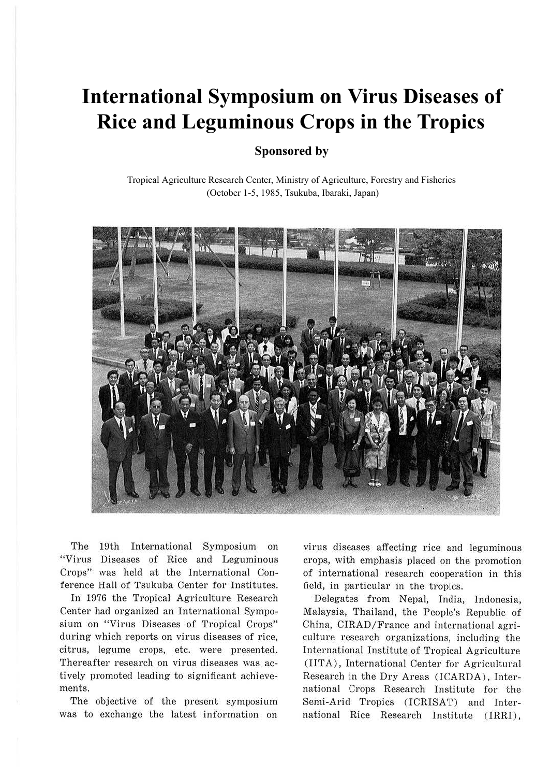# **International Symposium on Virus Diseases of Rice and Leguminous Crops in the Tropics**

# **Sponsored by**

Tropical Agriculture Research Center, Ministry of Agriculture, Forestry and Fisheries (October 1-5, 1985, Tsukuba, Ibaraki, Japan)



The 19th International Symposium on "Virus Diseases of Rice and Leguminous Crops" was held at the International Conference Hall of Tsukuba Center for Institutes.

In 1976 the Tropical Agriculture Research Center had organized an International Symposium on "Virus Diseases of Tropical Crops" during which reports on virus diseases of rice, citrus, legume crops, etc. were presented. Thereafter research on virus diseases was actively promoted leading to significant achievements.

The objective of the present symposium was to exchange the latest information on virus diseases affecting rice and leguminous crops, with emphasis placed on the promotion of international research cooperation in this field, in particular in the tropics.

Delegates from Nepal, India, Indonesia, Malaysia, Thailand, the People's Republic of China, CIRAD/France and international agriculture research organizations, including the International Institute of Tropical Agriculture (IITA), International Center for Agricultural Research in the Dry Areas (ICARDA), International Crops Research Institute for the Semi-Arid Tropics (ICRISAT) and International Rice Research Institute (IRRI),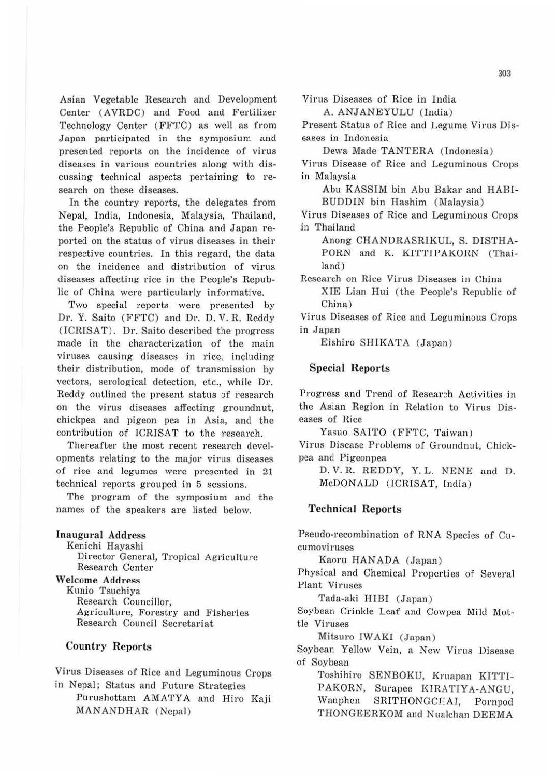Asian Vegetable Research and Development Center (AVRDC) and Food and Fertilizer Technology Center ( FFTC) as well as from Japan participated in the symposium and presented reports on the incidence of virus diseases in various countries along with discussing technical aspects pertaining to research on these diseases.

In the country reports, the delegates from Nepal, India, Indonesia, Malaysia, 'fhailand, the People's Republic of China and Japan reported on the status of virus diseases in their respective countries. In this regard, the data on the incidence and distribution of virus diseases affecting rice in the People's Republic of China were particularly informative.

Two special reports were presented by Dr. Y. Saito (FFTC) and Dr. D. V. R. Reddy (ICRISAT). Dr. Saito described the progress made in the characterization of the main viruses causing diseases in rice, including their distribution, mode of transmission by vectors, serological detection, etc., while Dr. Reddy outlined the present status of research on the virus diseases affecting groundnut, chickpea and pigeon pea in Asia, and the contribution of ICRTSAT to the research.

Thereafter the most recent research developments relating to the major virus diseases of rice and legumes were presented in 21 technical reports grouped in 5 sessions.

The program of the symposium and the names of the speakers are listed below.

Inaugural Address

Kenichi Hayashi

Director General, Tropical Agriculture Research Center

Welcome Address

Kunio Tsuchiya Research Councillor, Agriculture, Forestry and Fisheries Research Council Secretariat

#### Country Reports

Virus Diseases of Rice and Leguminous Crops in Nepal; Status and Future Strategies

Purushottam AMATYA and Hiro Kaji MANANDHAR (Nepal)

Virus Diseases of Rice in India

A. ANJANEYULU (India)

Present Status of Rice and Legume Virus Diseases in Indonesia

Dewa Made TANTERA (Indonesia )

Virus Disease of Rice and Leguminous Crops in Malaysia

Abu KASSIM bin Abu Bakar and HABI-BUDDIN bin Hashim (Malaysia)

Virus Diseases of Rice and Leguminous Crops in Thailand

Anong CHANDRASRIKUL, S. DISTHA-PORN and K. KITTIPAKORN (Thailand)

Research on Rice Virus Diseases in China XIE Lian Hui (the People's Republic of China)

Virns Diseases of Rice and Leguminous Crops in Japan

Eishiro SHJKATA (Japan )

#### Special Reports

Progress and Trend of Research Activities in the Asian Region in Relation to Virus Diseases of Rice

Yasuo SAITO (FFTC, Taiwan)

Virus Disease Problems of Groundnut, Chickpea and Pigeonpea

D. V. R. REDDY, Y. L. NENE and D. McDONALD (ICRISAT, India)

#### Technical Reports

Pseudo-recombination of RNA Species of Cucumoviruses

Kaoru HANADA (Japan)

Physical and Chemical Properties of Several Plant Viruses

Tada-aki HIBI (Japan)

Soybean Crinkle Leaf and Cowpea Mild Mottle Viruses

Mitsuro IW AKI (Japan)

Soybean Yellow Vein, a New Virns Disease of Soybean

Toshihiro SENBOKU, Kruapan KITTI-PAKORN, Surapee KIRATIYA-ANGU, Wanphen SRITHONGCHAI, Pornpod THONGEERKOM and Nualchan DEEMA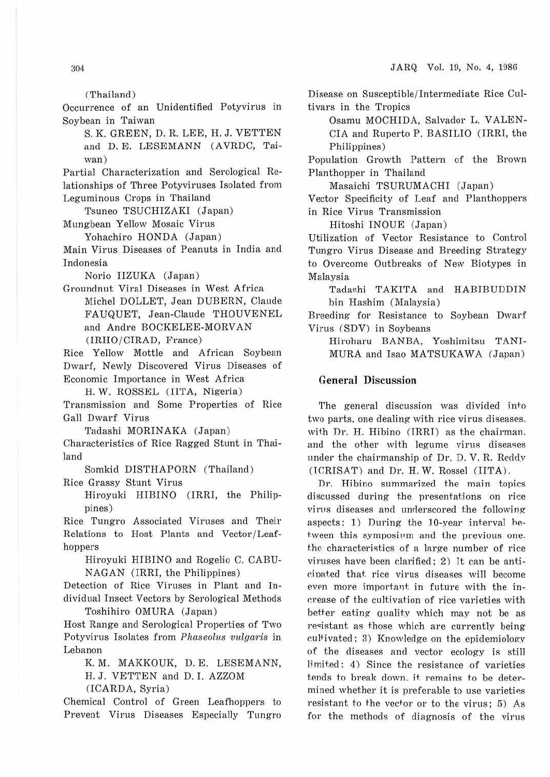(Thailand)

Occurrence of an Unidentified Potyvirus in Soybean in Taiwan

S. K. GREEN, D. R. LEE, H.J. VETTEN and D. E. LESEMANN (AVRDC, Taiwan)

Partial Characterization and Serological Relationships of Three Potyviruses Isolated from Leguminous Crops in Thailand

Tsuneo TSUCHIZAKI (Japan)

Mungbean Yellow Mosaic Virus

Yohachiro RONDA (Japan)

Main Virus Diseases of Peanuts in India and Indonesia

Norio IIZUKA (Japan)

Groundnut Viral Diseases in West Africa Michel DOLLET, Jean DUBERN, Claude FAUQUET, Jean-Claude THOUVENEL and Andre BOCKELEE-MORVAN (IRHO/CIRAD, France)

Rice Yellow Mottle and African Soybean Dwarf, Newly Discovered Virus Diseases of Economic Importance in West Africa

H. W. ROSSEL (IITA, Nigeria)

Transmission and Some Properties of Rice Gall Dwarf Virus

Tadashi MORINAKA (Japan) Characteristics of Rice Ragged Stunt in Thailand

Somkid DISTHAPORN (Thailand ) Rice Grassy Stunt Virus

Hiroyuki HIBINO (IRRT, the Philippines)

Rice Tungro Associated Virnses and Their Relations to Host Plants and Vector/Leafhoppers

Hiroyuki HIBINO and Rogelio C. CABU-N AGAN (IRRI, the Philippines)

Detection of Rice Viruses in Plant and Individual Insect Vectors by Serological Methods Toshihiro OMURA (Japan)

Host Range and Serological Properties of Two Potyvirus Isolates from *Pluiseolus vulgaris* in Lebanon

K. M. MAKKOUK, D. E. LESEMANN,

H.J. VETTEN and D. I. AZZOM

(!CARDA, Syria)

Chemical Control of Green Leafhoppers to Prevent Virus Diseases Especially Tungro Disease on Susceptible/Intermediate Rice Cultivars in the Tropics

Osamu MOCHIDA, Salvador L. VALEN-CIA and Ruperto P. BASILIO (IRRI, the Philippines)

Population Growth Pattern of the Brown Planthopper in Thailand

Masaichi TSURUMACHI (Japan)

Vector Specificity of Leaf and Planthoppers in Rice Virus Transmission

Hitoshi INOUE (Japan)

Utilization of Vector Resistance to Control Tungro Virus Disease and Breeding Strategy to Overcome Outbreaks of New Biotypes in Malaysia

Tadashi TAKITA and HABIBUDDIN bin Hashim (Malaysia)

Breeding for Resistance to Soybean Dwarf Virus (SDV) in Soybeans

Hiroharu BANBA, Yoshimitsu TANI-MURA and Isao MATSUKAWA (Japan)

### General Discussion

The general discussion was divided into two parts, one dealing with rice virus diseases. with Dr. H. Hibino (IRRI) as the chairman. and the other with legume virus diseases under the chairmanship of Dr. D. V. R. Reddy (ICRISAT) and Dr. H.W. Rossel (IITA).

Dr. Hibino summarized the main topics discussed during the presentations on rice virus diseases and underscored the following aspects: 1) During the  $10$ -year interval between this symposium and the previous one. t.ho characteristics of a large number of rice viruses have been clarified; 2) It can be anticipated that rice virus diseases will become even more important in future with the increase of the cultivation of rice varieties with better eating quality which may not be as resistant as those which are currently being cultivated; 3) Knowledge on the epidemiology of the diseases and vector ecology is still limited: 4) Since the resistance of varieties tends to break down. it. remains to be determined whether it is preferable to use varieties resistant to the vector or to the virus;  $5)$  As for the methods of diagnosis of the virus